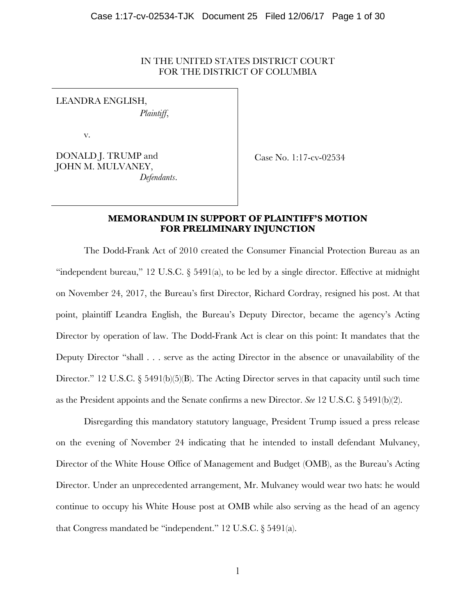# IN THE UNITED STATES DISTRICT COURT FOR THE DISTRICT OF COLUMBIA

LEANDRA ENGLISH, *Plaintiff*,

v.

DONALD J. TRUMP and JOHN M. MULVANEY, *Defendants*.

Case No. 1:17-cv-02534

# **MEMORANDUM IN SUPPORT OF PLAINTIFF'S MOTION FOR PRELIMINARY INJUNCTION**

The Dodd-Frank Act of 2010 created the Consumer Financial Protection Bureau as an "independent bureau," 12 U.S.C. § 5491(a), to be led by a single director. Effective at midnight on November 24, 2017, the Bureau's first Director, Richard Cordray, resigned his post. At that point, plaintiff Leandra English, the Bureau's Deputy Director, became the agency's Acting Director by operation of law. The Dodd-Frank Act is clear on this point: It mandates that the Deputy Director "shall . . . serve as the acting Director in the absence or unavailability of the Director." 12 U.S.C.  $\S 5491(b)(5)(B)$ . The Acting Director serves in that capacity until such time as the President appoints and the Senate confirms a new Director. *See* 12 U.S.C. § 5491(b)(2).

Disregarding this mandatory statutory language, President Trump issued a press release on the evening of November 24 indicating that he intended to install defendant Mulvaney, Director of the White House Office of Management and Budget (OMB), as the Bureau's Acting Director. Under an unprecedented arrangement, Mr. Mulvaney would wear two hats: he would continue to occupy his White House post at OMB while also serving as the head of an agency that Congress mandated be "independent." 12 U.S.C. § 5491(a).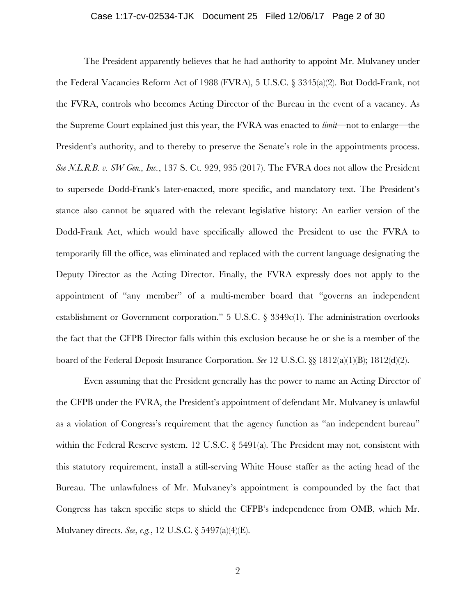## Case 1:17-cv-02534-TJK Document 25 Filed 12/06/17 Page 2 of 30

The President apparently believes that he had authority to appoint Mr. Mulvaney under the Federal Vacancies Reform Act of 1988 (FVRA), 5 U.S.C. § 3345(a)(2). But Dodd-Frank, not the FVRA, controls who becomes Acting Director of the Bureau in the event of a vacancy. As the Supreme Court explained just this year, the FVRA was enacted to *limit*—not to enlarge—the President's authority, and to thereby to preserve the Senate's role in the appointments process. *See N.L.R.B. v. SW Gen., Inc.*, 137 S. Ct. 929, 935 (2017). The FVRA does not allow the President to supersede Dodd-Frank's later-enacted, more specific, and mandatory text. The President's stance also cannot be squared with the relevant legislative history: An earlier version of the Dodd-Frank Act, which would have specifically allowed the President to use the FVRA to temporarily fill the office, was eliminated and replaced with the current language designating the Deputy Director as the Acting Director. Finally, the FVRA expressly does not apply to the appointment of "any member" of a multi-member board that "governs an independent establishment or Government corporation." 5 U.S.C. § 3349c(1). The administration overlooks the fact that the CFPB Director falls within this exclusion because he or she is a member of the board of the Federal Deposit Insurance Corporation. *See* 12 U.S.C. §§ 1812(a)(1)(B); 1812(d)(2).

Even assuming that the President generally has the power to name an Acting Director of the CFPB under the FVRA, the President's appointment of defendant Mr. Mulvaney is unlawful as a violation of Congress's requirement that the agency function as "an independent bureau" within the Federal Reserve system. 12 U.S.C. § 5491(a). The President may not, consistent with this statutory requirement, install a still-serving White House staffer as the acting head of the Bureau. The unlawfulness of Mr. Mulvaney's appointment is compounded by the fact that Congress has taken specific steps to shield the CFPB's independence from OMB, which Mr. Mulvaney directs. *See*, *e.g.*, 12 U.S.C. § 5497(a)(4)(E).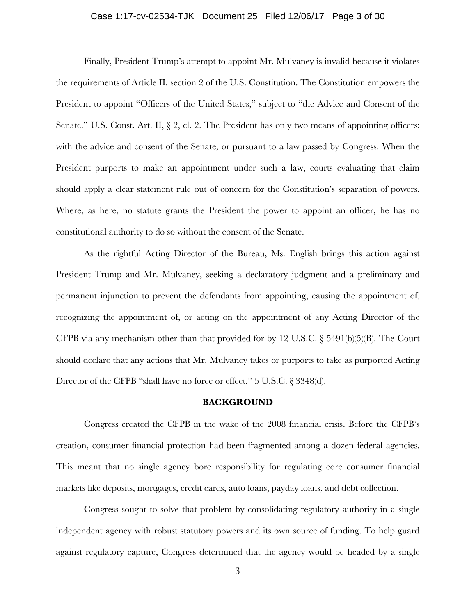## Case 1:17-cv-02534-TJK Document 25 Filed 12/06/17 Page 3 of 30

Finally, President Trump's attempt to appoint Mr. Mulvaney is invalid because it violates the requirements of Article II, section 2 of the U.S. Constitution. The Constitution empowers the President to appoint "Officers of the United States," subject to "the Advice and Consent of the Senate." U.S. Const. Art. II,  $\S 2$ , cl. 2. The President has only two means of appointing officers: with the advice and consent of the Senate, or pursuant to a law passed by Congress. When the President purports to make an appointment under such a law, courts evaluating that claim should apply a clear statement rule out of concern for the Constitution's separation of powers. Where, as here, no statute grants the President the power to appoint an officer, he has no constitutional authority to do so without the consent of the Senate.

As the rightful Acting Director of the Bureau, Ms. English brings this action against President Trump and Mr. Mulvaney, seeking a declaratory judgment and a preliminary and permanent injunction to prevent the defendants from appointing, causing the appointment of, recognizing the appointment of, or acting on the appointment of any Acting Director of the CFPB via any mechanism other than that provided for by 12 U.S.C. § 5491(b)(5)(B). The Court should declare that any actions that Mr. Mulvaney takes or purports to take as purported Acting Director of the CFPB "shall have no force or effect." 5 U.S.C. § 3348(d).

### **BACKGROUND**

Congress created the CFPB in the wake of the 2008 financial crisis. Before the CFPB's creation, consumer financial protection had been fragmented among a dozen federal agencies. This meant that no single agency bore responsibility for regulating core consumer financial markets like deposits, mortgages, credit cards, auto loans, payday loans, and debt collection.

Congress sought to solve that problem by consolidating regulatory authority in a single independent agency with robust statutory powers and its own source of funding. To help guard against regulatory capture, Congress determined that the agency would be headed by a single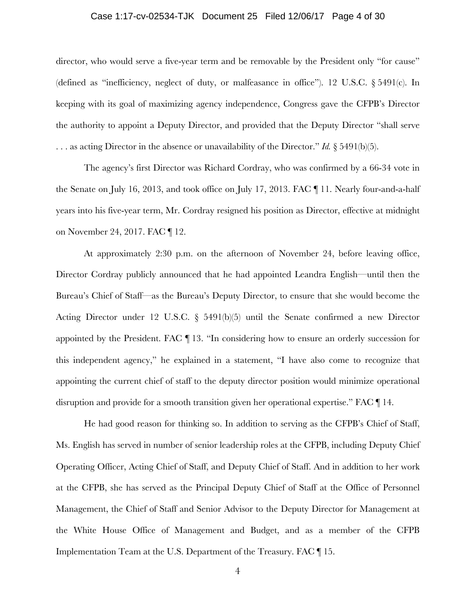## Case 1:17-cv-02534-TJK Document 25 Filed 12/06/17 Page 4 of 30

director, who would serve a five-year term and be removable by the President only "for cause" (defined as "inefficiency, neglect of duty, or malfeasance in office"). 12 U.S.C. § 5491(c). In keeping with its goal of maximizing agency independence, Congress gave the CFPB's Director the authority to appoint a Deputy Director, and provided that the Deputy Director "shall serve . . . as acting Director in the absence or unavailability of the Director." *Id.* § 5491(b)(5).

The agency's first Director was Richard Cordray, who was confirmed by a 66-34 vote in the Senate on July 16, 2013, and took office on July 17, 2013. FAC ¶ 11. Nearly four-and-a-half years into his five-year term, Mr. Cordray resigned his position as Director, effective at midnight on November 24, 2017. FAC ¶ 12.

At approximately 2:30 p.m. on the afternoon of November 24, before leaving office, Director Cordray publicly announced that he had appointed Leandra English—until then the Bureau's Chief of Staff—as the Bureau's Deputy Director, to ensure that she would become the Acting Director under 12 U.S.C. § 5491(b)(5) until the Senate confirmed a new Director appointed by the President. FAC ¶ 13. "In considering how to ensure an orderly succession for this independent agency," he explained in a statement, "I have also come to recognize that appointing the current chief of staff to the deputy director position would minimize operational disruption and provide for a smooth transition given her operational expertise." FAC ¶ 14.

He had good reason for thinking so. In addition to serving as the CFPB's Chief of Staff, Ms. English has served in number of senior leadership roles at the CFPB, including Deputy Chief Operating Officer, Acting Chief of Staff, and Deputy Chief of Staff. And in addition to her work at the CFPB, she has served as the Principal Deputy Chief of Staff at the Office of Personnel Management, the Chief of Staff and Senior Advisor to the Deputy Director for Management at the White House Office of Management and Budget, and as a member of the CFPB Implementation Team at the U.S. Department of the Treasury. FAC ¶ 15.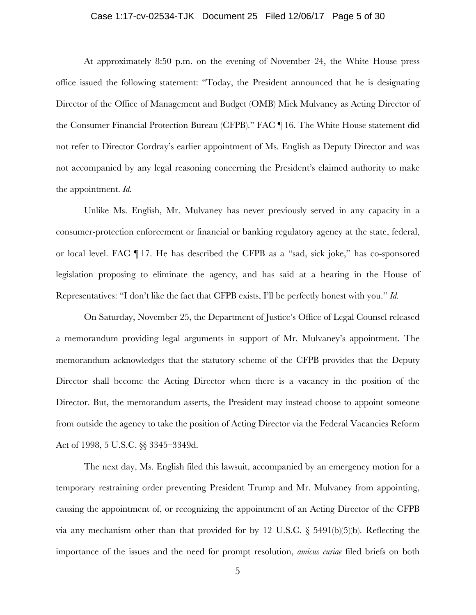## Case 1:17-cv-02534-TJK Document 25 Filed 12/06/17 Page 5 of 30

At approximately 8:50 p.m. on the evening of November 24, the White House press office issued the following statement: "Today, the President announced that he is designating Director of the Office of Management and Budget (OMB) Mick Mulvaney as Acting Director of the Consumer Financial Protection Bureau (CFPB)." FAC ¶ 16. The White House statement did not refer to Director Cordray's earlier appointment of Ms. English as Deputy Director and was not accompanied by any legal reasoning concerning the President's claimed authority to make the appointment. *Id.*

Unlike Ms. English, Mr. Mulvaney has never previously served in any capacity in a consumer-protection enforcement or financial or banking regulatory agency at the state, federal, or local level. FAC ¶ 17. He has described the CFPB as a "sad, sick joke," has co-sponsored legislation proposing to eliminate the agency, and has said at a hearing in the House of Representatives: "I don't like the fact that CFPB exists, I'll be perfectly honest with you." *Id.*

On Saturday, November 25, the Department of Justice's Office of Legal Counsel released a memorandum providing legal arguments in support of Mr. Mulvaney's appointment. The memorandum acknowledges that the statutory scheme of the CFPB provides that the Deputy Director shall become the Acting Director when there is a vacancy in the position of the Director. But, the memorandum asserts, the President may instead choose to appoint someone from outside the agency to take the position of Acting Director via the Federal Vacancies Reform Act of 1998, 5 U.S.C. §§ 3345–3349d.

The next day, Ms. English filed this lawsuit, accompanied by an emergency motion for a temporary restraining order preventing President Trump and Mr. Mulvaney from appointing, causing the appointment of, or recognizing the appointment of an Acting Director of the CFPB via any mechanism other than that provided for by 12 U.S.C. § 5491(b)(5)(b). Reflecting the importance of the issues and the need for prompt resolution, *amicus curiae* filed briefs on both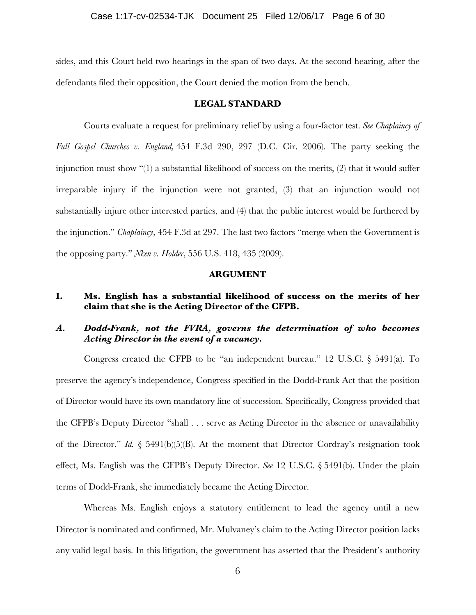sides, and this Court held two hearings in the span of two days. At the second hearing, after the defendants filed their opposition, the Court denied the motion from the bench.

# **LEGAL STANDARD**

Courts evaluate a request for preliminary relief by using a four-factor test. *See Chaplaincy of Full Gospel Churches v. England,* 454 F.3d 290, 297 (D.C. Cir. 2006). The party seeking the injunction must show "(1) a substantial likelihood of success on the merits, (2) that it would suffer irreparable injury if the injunction were not granted, (3) that an injunction would not substantially injure other interested parties, and (4) that the public interest would be furthered by the injunction." *Chaplaincy*, 454 F.3d at 297. The last two factors "merge when the Government is the opposing party." *Nken v. Holder*, 556 U.S. 418, 435 (2009).

## **ARGUMENT**

# **I. Ms. English has a substantial likelihood of success on the merits of her claim that she is the Acting Director of the CFPB.**

# *A. Dodd-Frank, not the FVRA, governs the determination of who becomes Acting Director in the event of a vacancy.*

Congress created the CFPB to be "an independent bureau." 12 U.S.C. § 5491(a). To preserve the agency's independence, Congress specified in the Dodd-Frank Act that the position of Director would have its own mandatory line of succession. Specifically, Congress provided that the CFPB's Deputy Director "shall . . . serve as Acting Director in the absence or unavailability of the Director." *Id.* § 5491(b)(5)(B). At the moment that Director Cordray's resignation took effect, Ms. English was the CFPB's Deputy Director. *See* 12 U.S.C. § 5491(b). Under the plain terms of Dodd-Frank, she immediately became the Acting Director.

Whereas Ms. English enjoys a statutory entitlement to lead the agency until a new Director is nominated and confirmed, Mr. Mulvaney's claim to the Acting Director position lacks any valid legal basis. In this litigation, the government has asserted that the President's authority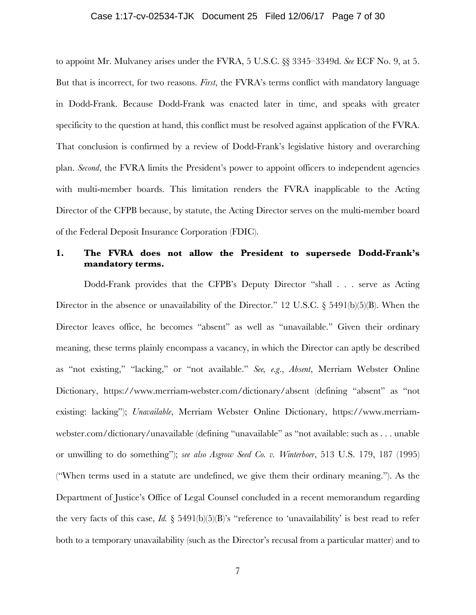## Case 1:17-cv-02534-TJK Document 25 Filed 12/06/17 Page 7 of 30

to appoint Mr. Mulvaney arises under the FVRA, 5 U.S.C. §§ 3345–3349d. *See* ECF No. 9, at 5. But that is incorrect, for two reasons. *First*, the FVRA's terms conflict with mandatory language in Dodd-Frank. Because Dodd-Frank was enacted later in time, and speaks with greater specificity to the question at hand, this conflict must be resolved against application of the FVRA. That conclusion is confirmed by a review of Dodd-Frank's legislative history and overarching plan. *Second*, the FVRA limits the President's power to appoint officers to independent agencies with multi-member boards. This limitation renders the FVRA inapplicable to the Acting Director of the CFPB because, by statute, the Acting Director serves on the multi-member board of the Federal Deposit Insurance Corporation (FDIC).

# **1. The FVRA does not allow the President to supersede Dodd-Frank's mandatory terms.**

Dodd-Frank provides that the CFPB's Deputy Director "shall . . . serve as Acting Director in the absence or unavailability of the Director." 12 U.S.C.  $\S$  5491(b)(5)(B). When the Director leaves office, he becomes "absent" as well as "unavailable." Given their ordinary meaning, these terms plainly encompass a vacancy, in which the Director can aptly be described as "not existing," "lacking," or "not available." *See, e.g*., *Absent*, Merriam Webster Online Dictionary, https://www.merriam-webster.com/dictionary/absent (defining "absent" as "not existing: lacking"); *Unavailable*, Merriam Webster Online Dictionary, https://www.merriamwebster.com/dictionary/unavailable (defining "unavailable" as "not available: such as . . . unable or unwilling to do something"); *see also Asgrow Seed Co. v. Winterboer*, 513 U.S. 179, 187 (1995) ("When terms used in a statute are undefined, we give them their ordinary meaning."). As the Department of Justice's Office of Legal Counsel concluded in a recent memorandum regarding the very facts of this case,  $Id.$  § 5491(b)(5)(B)'s "reference to 'unavailability' is best read to refer both to a temporary unavailability (such as the Director's recusal from a particular matter) and to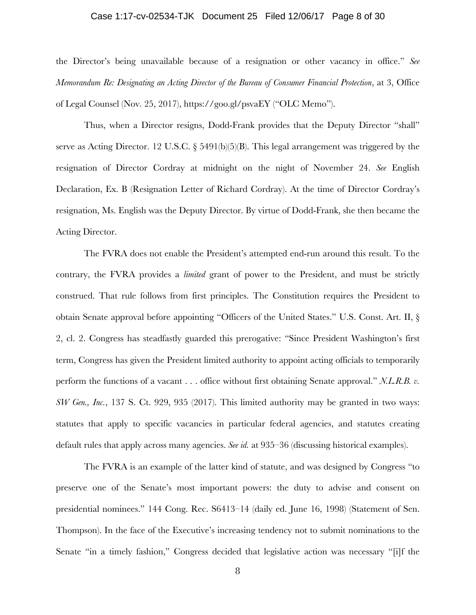## Case 1:17-cv-02534-TJK Document 25 Filed 12/06/17 Page 8 of 30

the Director's being unavailable because of a resignation or other vacancy in office." *See Memorandum Re: Designating an Acting Director of the Bureau of Consumer Financial Protection*, at 3, Office of Legal Counsel (Nov. 25, 2017), https://goo.gl/psvaEY ("OLC Memo").

Thus, when a Director resigns, Dodd-Frank provides that the Deputy Director "shall" serve as Acting Director. 12 U.S.C.  $\S 5491(b)(5)(B)$ . This legal arrangement was triggered by the resignation of Director Cordray at midnight on the night of November 24. *See* English Declaration, Ex. B (Resignation Letter of Richard Cordray). At the time of Director Cordray's resignation, Ms. English was the Deputy Director. By virtue of Dodd-Frank, she then became the Acting Director.

The FVRA does not enable the President's attempted end-run around this result. To the contrary, the FVRA provides a *limited* grant of power to the President, and must be strictly construed. That rule follows from first principles. The Constitution requires the President to obtain Senate approval before appointing "Officers of the United States." U.S. Const. Art. II, § 2, cl. 2. Congress has steadfastly guarded this prerogative: "Since President Washington's first term, Congress has given the President limited authority to appoint acting officials to temporarily perform the functions of a vacant . . . office without first obtaining Senate approval." *N.L.R.B. v. SW Gen., Inc.*, 137 S. Ct. 929, 935 (2017). This limited authority may be granted in two ways: statutes that apply to specific vacancies in particular federal agencies, and statutes creating default rules that apply across many agencies. *See id.* at 935–36 (discussing historical examples).

The FVRA is an example of the latter kind of statute, and was designed by Congress "to preserve one of the Senate's most important powers: the duty to advise and consent on presidential nominees." 144 Cong. Rec. S6413–14 (daily ed. June 16, 1998) (Statement of Sen. Thompson). In the face of the Executive's increasing tendency not to submit nominations to the Senate "in a timely fashion," Congress decided that legislative action was necessary "[i]f the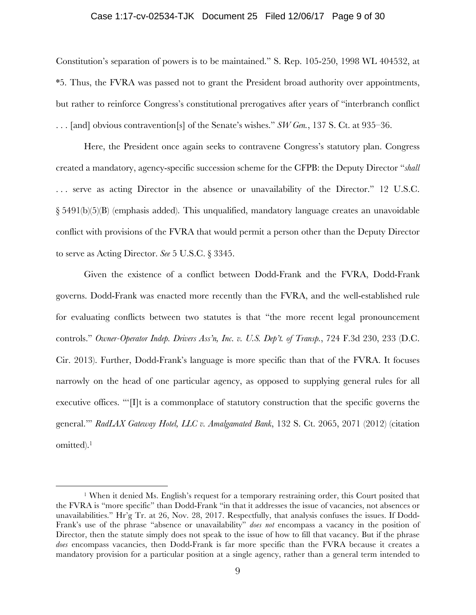### Case 1:17-cv-02534-TJK Document 25 Filed 12/06/17 Page 9 of 30

Constitution's separation of powers is to be maintained." S. Rep. 105-250, 1998 WL 404532, at \*5. Thus, the FVRA was passed not to grant the President broad authority over appointments, but rather to reinforce Congress's constitutional prerogatives after years of "interbranch conflict . . . [and] obvious contravention[s] of the Senate's wishes." *SW Gen.*, 137 S. Ct. at 935–36.

Here, the President once again seeks to contravene Congress's statutory plan. Congress created a mandatory, agency-specific succession scheme for the CFPB: the Deputy Director "*shall* ... serve as acting Director in the absence or unavailability of the Director." 12 U.S.C. § 5491(b)(5)(B) (emphasis added). This unqualified, mandatory language creates an unavoidable conflict with provisions of the FVRA that would permit a person other than the Deputy Director to serve as Acting Director. *See* 5 U.S.C. § 3345.

Given the existence of a conflict between Dodd-Frank and the FVRA, Dodd-Frank governs. Dodd-Frank was enacted more recently than the FVRA, and the well-established rule for evaluating conflicts between two statutes is that "the more recent legal pronouncement controls." *Owner-Operator Indep. Drivers Ass'n, Inc. v. U.S. Dep't. of Transp.*, 724 F.3d 230, 233 (D.C. Cir. 2013). Further, Dodd-Frank's language is more specific than that of the FVRA. It focuses narrowly on the head of one particular agency, as opposed to supplying general rules for all executive offices. "'If is a commonplace of statutory construction that the specific governs the general.'" *RadLAX Gateway Hotel, LLC v. Amalgamated Bank*, 132 S. Ct. 2065, 2071 (2012) (citation omitted).<sup>1</sup>

<sup>&</sup>lt;sup>1</sup> When it denied Ms. English's request for a temporary restraining order, this Court posited that the FVRA is "more specific" than Dodd-Frank "in that it addresses the issue of vacancies, not absences or unavailabilities." Hr'g Tr. at 26, Nov. 28, 2017. Respectfully, that analysis confuses the issues. If Dodd-Frank's use of the phrase "absence or unavailability" *does not* encompass a vacancy in the position of Director, then the statute simply does not speak to the issue of how to fill that vacancy. But if the phrase *does* encompass vacancies, then Dodd-Frank is far more specific than the FVRA because it creates a mandatory provision for a particular position at a single agency, rather than a general term intended to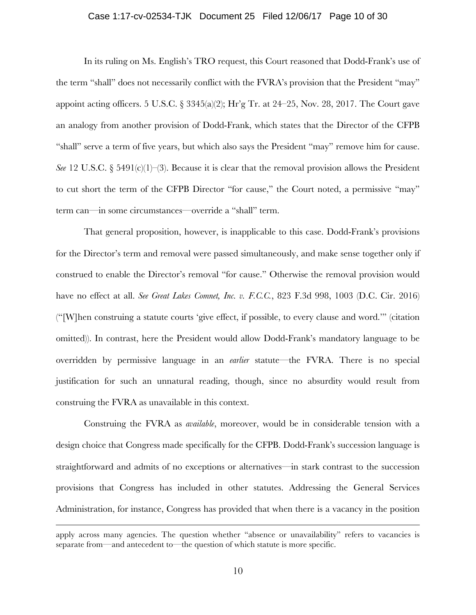### Case 1:17-cv-02534-TJK Document 25 Filed 12/06/17 Page 10 of 30

In its ruling on Ms. English's TRO request, this Court reasoned that Dodd-Frank's use of the term "shall" does not necessarily conflict with the FVRA's provision that the President "may" appoint acting officers. 5 U.S.C.  $\S 3345(a)(2)$ ; Hr'g Tr. at 24–25, Nov. 28, 2017. The Court gave an analogy from another provision of Dodd-Frank, which states that the Director of the CFPB "shall" serve a term of five years, but which also says the President "may" remove him for cause. *See* 12 U.S.C. § 5491(c)(1)–(3). Because it is clear that the removal provision allows the President to cut short the term of the CFPB Director "for cause," the Court noted, a permissive "may" term can—in some circumstances—override a "shall" term.

That general proposition, however, is inapplicable to this case. Dodd-Frank's provisions for the Director's term and removal were passed simultaneously, and make sense together only if construed to enable the Director's removal "for cause." Otherwise the removal provision would have no effect at all. *See Great Lakes Comnet, Inc. v. F.C.C.*, 823 F.3d 998, 1003 (D.C. Cir. 2016) ("[W]hen construing a statute courts 'give effect, if possible, to every clause and word.'" (citation omitted)). In contrast, here the President would allow Dodd-Frank's mandatory language to be overridden by permissive language in an *earlier* statute—the FVRA. There is no special justification for such an unnatural reading, though, since no absurdity would result from construing the FVRA as unavailable in this context.

Construing the FVRA as *available*, moreover, would be in considerable tension with a design choice that Congress made specifically for the CFPB. Dodd-Frank's succession language is straightforward and admits of no exceptions or alternatives—in stark contrast to the succession provisions that Congress has included in other statutes. Addressing the General Services Administration, for instance, Congress has provided that when there is a vacancy in the position

 $\overline{a}$ 

apply across many agencies. The question whether "absence or unavailability" refers to vacancies is separate from—and antecedent to—the question of which statute is more specific.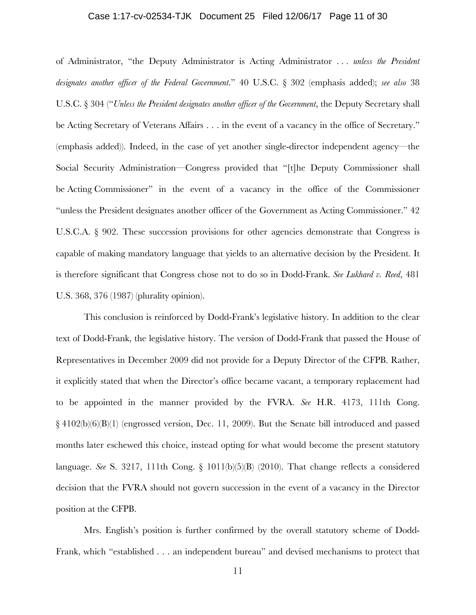### Case 1:17-cv-02534-TJK Document 25 Filed 12/06/17 Page 11 of 30

of Administrator, "the Deputy Administrator is Acting Administrator . . . *unless the President designates another officer of the Federal Government*." 40 U.S.C. § 302 (emphasis added); *see also* 38 U.S.C. § 304 ("*Unless the President designates another officer of the Government*, the Deputy Secretary shall be Acting Secretary of Veterans Affairs . . . in the event of a vacancy in the office of Secretary." (emphasis added)). Indeed, in the case of yet another single-director independent agency—the Social Security Administration—Congress provided that "[t]he Deputy Commissioner shall be Acting Commissioner" in the event of a vacancy in the office of the Commissioner "unless the President designates another officer of the Government as Acting Commissioner." 42 U.S.C.A. § 902. These succession provisions for other agencies demonstrate that Congress is capable of making mandatory language that yields to an alternative decision by the President. It is therefore significant that Congress chose not to do so in Dodd-Frank. *See Lukhard v. Reed*, 481 U.S. 368, 376 (1987) (plurality opinion).

This conclusion is reinforced by Dodd-Frank's legislative history. In addition to the clear text of Dodd-Frank, the legislative history. The version of Dodd-Frank that passed the House of Representatives in December 2009 did not provide for a Deputy Director of the CFPB. Rather, it explicitly stated that when the Director's office became vacant, a temporary replacement had to be appointed in the manner provided by the FVRA. *See* H.R. 4173, 111th Cong. § 4102(b)(6)(B)(1) (engrossed version, Dec. 11, 2009). But the Senate bill introduced and passed months later eschewed this choice, instead opting for what would become the present statutory language. *See* S. 3217, 111th Cong. § 1011(b)(5)(B) (2010). That change reflects a considered decision that the FVRA should not govern succession in the event of a vacancy in the Director position at the CFPB.

Mrs. English's position is further confirmed by the overall statutory scheme of Dodd-Frank, which "established . . . an independent bureau" and devised mechanisms to protect that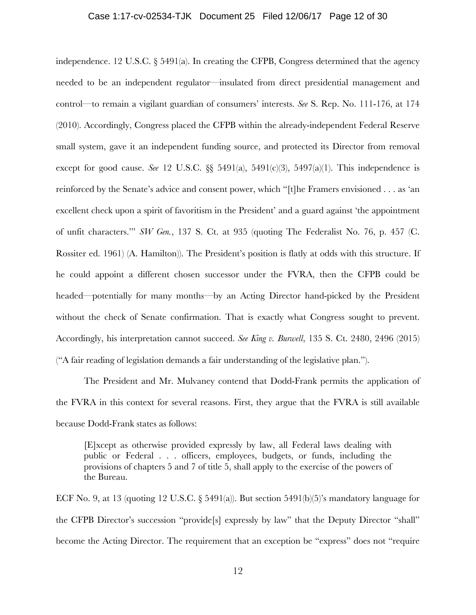### Case 1:17-cv-02534-TJK Document 25 Filed 12/06/17 Page 12 of 30

independence. 12 U.S.C. § 5491(a). In creating the CFPB, Congress determined that the agency needed to be an independent regulator—insulated from direct presidential management and control—to remain a vigilant guardian of consumers' interests. *See* S. Rep. No. 111-176, at 174 (2010). Accordingly, Congress placed the CFPB within the already-independent Federal Reserve small system, gave it an independent funding source, and protected its Director from removal except for good cause. *See* 12 U.S.C.  $\S$  5491(a), 5491(c)(3), 5497(a)(1). This independence is reinforced by the Senate's advice and consent power, which "[t]he Framers envisioned . . . as 'an excellent check upon a spirit of favoritism in the President' and a guard against 'the appointment of unfit characters.'" *SW Gen.*, 137 S. Ct. at 935 (quoting The Federalist No. 76, p. 457 (C. Rossiter ed. 1961) (A. Hamilton)). The President's position is flatly at odds with this structure. If he could appoint a different chosen successor under the FVRA, then the CFPB could be headed—potentially for many months—by an Acting Director hand-picked by the President without the check of Senate confirmation. That is exactly what Congress sought to prevent. Accordingly, his interpretation cannot succeed. *See King v. Burwell*, 135 S. Ct. 2480, 2496 (2015) ("A fair reading of legislation demands a fair understanding of the legislative plan.").

The President and Mr. Mulvaney contend that Dodd-Frank permits the application of the FVRA in this context for several reasons. First, they argue that the FVRA is still available because Dodd-Frank states as follows:

[E]xcept as otherwise provided expressly by law, all Federal laws dealing with public or Federal . . . officers, employees, budgets, or funds, including the provisions of chapters 5 and 7 of title 5, shall apply to the exercise of the powers of the Bureau.

ECF No. 9, at 13 (quoting 12 U.S.C.  $\S$  5491(a)). But section 5491(b)(5)'s mandatory language for the CFPB Director's succession "provide[s] expressly by law" that the Deputy Director "shall" become the Acting Director. The requirement that an exception be "express" does not "require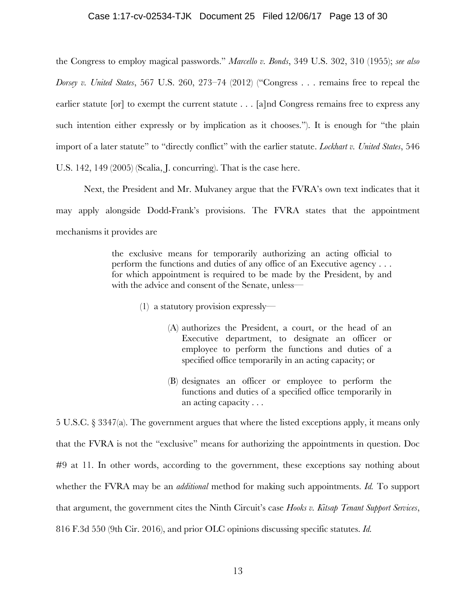## Case 1:17-cv-02534-TJK Document 25 Filed 12/06/17 Page 13 of 30

the Congress to employ magical passwords." *Marcello v. Bonds*, 349 U.S. 302, 310 (1955); *see also Dorsey v. United States*, 567 U.S. 260, 273–74 (2012) ("Congress . . . remains free to repeal the earlier statute [or] to exempt the current statute . . . [a]nd Congress remains free to express any such intention either expressly or by implication as it chooses."). It is enough for "the plain import of a later statute" to "directly conflict" with the earlier statute. *Lockhart v. United States*, 546 U.S. 142, 149 (2005) (Scalia, J. concurring). That is the case here.

Next, the President and Mr. Mulvaney argue that the FVRA's own text indicates that it may apply alongside Dodd-Frank's provisions. The FVRA states that the appointment mechanisms it provides are

> the exclusive means for temporarily authorizing an acting official to perform the functions and duties of any office of an Executive agency . . . for which appointment is required to be made by the President, by and with the advice and consent of the Senate, unless—

- (1) a statutory provision expressly—
	- (A) authorizes the President, a court, or the head of an Executive department, to designate an officer or employee to perform the functions and duties of a specified office temporarily in an acting capacity; or
	- (B) designates an officer or employee to perform the functions and duties of a specified office temporarily in an acting capacity . . .

5 U.S.C. § 3347(a). The government argues that where the listed exceptions apply, it means only that the FVRA is not the "exclusive" means for authorizing the appointments in question. Doc #9 at 11. In other words, according to the government, these exceptions say nothing about whether the FVRA may be an *additional* method for making such appointments. *Id.* To support that argument, the government cites the Ninth Circuit's case *Hooks v. Kitsap Tenant Support Services*, 816 F.3d 550 (9th Cir. 2016), and prior OLC opinions discussing specific statutes. *Id.*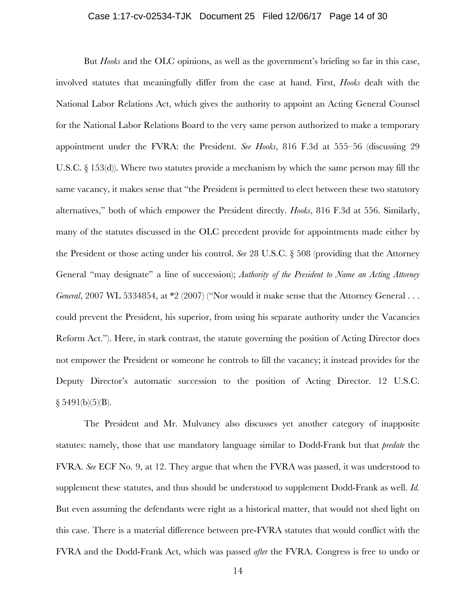## Case 1:17-cv-02534-TJK Document 25 Filed 12/06/17 Page 14 of 30

But *Hooks* and the OLC opinions, as well as the government's briefing so far in this case, involved statutes that meaningfully differ from the case at hand. First, *Hooks* dealt with the National Labor Relations Act, which gives the authority to appoint an Acting General Counsel for the National Labor Relations Board to the very same person authorized to make a temporary appointment under the FVRA: the President. *See Hooks*, 816 F.3d at 555–56 (discussing 29 U.S.C. § 153(d)). Where two statutes provide a mechanism by which the same person may fill the same vacancy, it makes sense that "the President is permitted to elect between these two statutory alternatives," both of which empower the President directly. *Hooks*, 816 F.3d at 556. Similarly, many of the statutes discussed in the OLC precedent provide for appointments made either by the President or those acting under his control. *See* 28 U.S.C. § 508 (providing that the Attorney General "may designate" a line of succession); *Authority of the President to Name an Acting Attorney General*, 2007 WL 5334854, at \*2 (2007) ("Nor would it make sense that the Attorney General . . . could prevent the President, his superior, from using his separate authority under the Vacancies Reform Act."). Here, in stark contrast, the statute governing the position of Acting Director does not empower the President or someone he controls to fill the vacancy; it instead provides for the Deputy Director's automatic succession to the position of Acting Director. 12 U.S.C.  $§ 5491(b)(5)(B).$ 

The President and Mr. Mulvaney also discusses yet another category of inapposite statutes: namely, those that use mandatory language similar to Dodd-Frank but that *predate* the FVRA. *See* ECF No. 9, at 12. They argue that when the FVRA was passed, it was understood to supplement these statutes, and thus should be understood to supplement Dodd-Frank as well. *Id.* But even assuming the defendants were right as a historical matter, that would not shed light on this case. There is a material difference between pre-FVRA statutes that would conflict with the FVRA and the Dodd-Frank Act, which was passed *after* the FVRA. Congress is free to undo or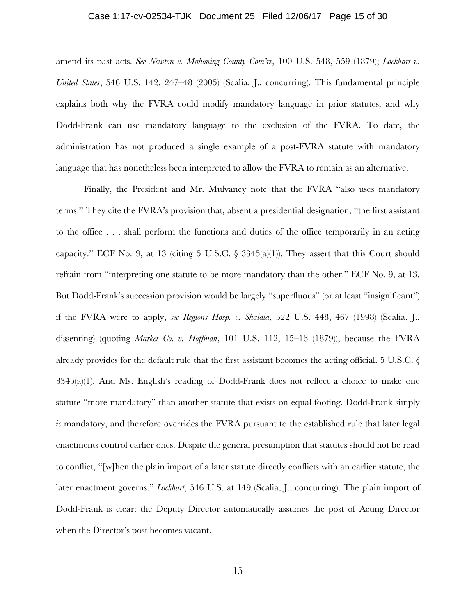### Case 1:17-cv-02534-TJK Document 25 Filed 12/06/17 Page 15 of 30

amend its past acts. *See Newton v. Mahoning County Com'rs*, 100 U.S. 548, 559 (1879); *Lockhart v. United States*, 546 U.S. 142, 247–48 (2005) (Scalia, J., concurring). This fundamental principle explains both why the FVRA could modify mandatory language in prior statutes, and why Dodd-Frank can use mandatory language to the exclusion of the FVRA. To date, the administration has not produced a single example of a post-FVRA statute with mandatory language that has nonetheless been interpreted to allow the FVRA to remain as an alternative.

Finally, the President and Mr. Mulvaney note that the FVRA "also uses mandatory terms." They cite the FVRA's provision that, absent a presidential designation, "the first assistant to the office . . . shall perform the functions and duties of the office temporarily in an acting capacity." ECF No. 9, at 13 (citing 5 U.S.C.  $\S$  3345(a)(1)). They assert that this Court should refrain from "interpreting one statute to be more mandatory than the other." ECF No. 9, at 13. But Dodd-Frank's succession provision would be largely "superfluous" (or at least "insignificant") if the FVRA were to apply, *see Regions Hosp. v. Shalala*, 522 U.S. 448, 467 (1998) (Scalia, J., dissenting) (quoting *Market Co. v. Hoffman*, 101 U.S. 112, 15–16 (1879)), because the FVRA already provides for the default rule that the first assistant becomes the acting official. 5 U.S.C. §  $3345(a)(1)$ . And Ms. English's reading of Dodd-Frank does not reflect a choice to make one statute "more mandatory" than another statute that exists on equal footing. Dodd-Frank simply *is* mandatory, and therefore overrides the FVRA pursuant to the established rule that later legal enactments control earlier ones. Despite the general presumption that statutes should not be read to conflict, "[w]hen the plain import of a later statute directly conflicts with an earlier statute, the later enactment governs." *Lockhart*, 546 U.S. at 149 (Scalia, J., concurring). The plain import of Dodd-Frank is clear: the Deputy Director automatically assumes the post of Acting Director when the Director's post becomes vacant.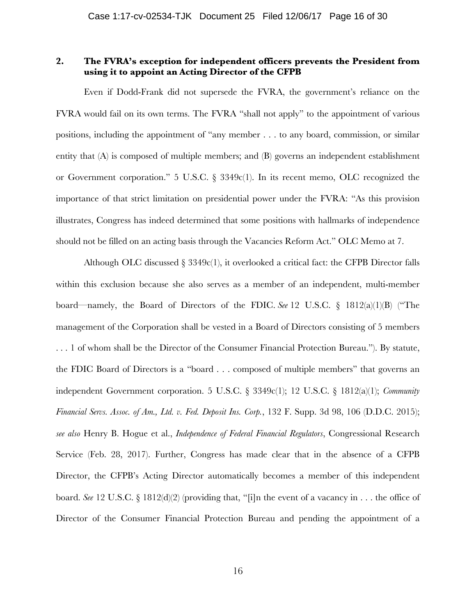# **2. The FVRA's exception for independent officers prevents the President from using it to appoint an Acting Director of the CFPB**

Even if Dodd-Frank did not supersede the FVRA, the government's reliance on the FVRA would fail on its own terms. The FVRA "shall not apply" to the appointment of various positions, including the appointment of "any member . . . to any board, commission, or similar entity that (A) is composed of multiple members; and (B) governs an independent establishment or Government corporation." 5 U.S.C. § 3349c(1). In its recent memo, OLC recognized the importance of that strict limitation on presidential power under the FVRA: "As this provision illustrates, Congress has indeed determined that some positions with hallmarks of independence should not be filled on an acting basis through the Vacancies Reform Act." OLC Memo at 7.

Although OLC discussed  $\S 3349c(1)$ , it overlooked a critical fact: the CFPB Director falls within this exclusion because she also serves as a member of an independent, multi-member board—namely, the Board of Directors of the FDIC. *See* 12 U.S.C. § 1812(a)(1)(B) ("The management of the Corporation shall be vested in a Board of Directors consisting of 5 members . . . 1 of whom shall be the Director of the Consumer Financial Protection Bureau."). By statute, the FDIC Board of Directors is a "board . . . composed of multiple members" that governs an independent Government corporation. 5 U.S.C. § 3349c(1); 12 U.S.C. § 1812(a)(1); *Community Financial Servs. Assoc. of Am., Ltd. v. Fed. Deposit Ins. Corp.*, 132 F. Supp. 3d 98, 106 (D.D.C. 2015); *see also* Henry B. Hogue et al., *Independence of Federal Financial Regulators*, Congressional Research Service (Feb. 28, 2017). Further, Congress has made clear that in the absence of a CFPB Director, the CFPB's Acting Director automatically becomes a member of this independent board. *See* 12 U.S.C. § 1812(d)(2) (providing that, "[i]n the event of a vacancy in . . . the office of Director of the Consumer Financial Protection Bureau and pending the appointment of a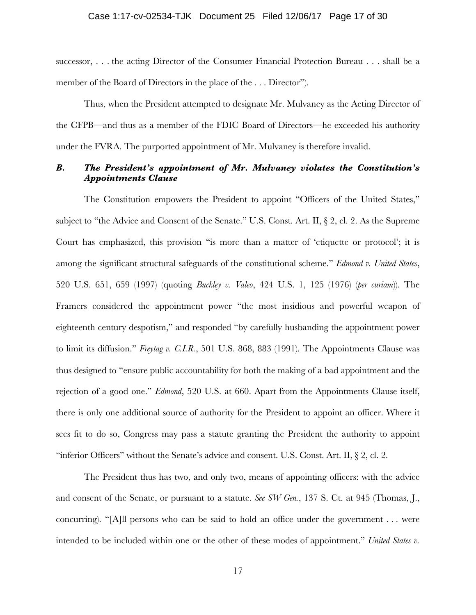successor, . . . the acting Director of the Consumer Financial Protection Bureau . . . shall be a member of the Board of Directors in the place of the . . . Director").

Thus, when the President attempted to designate Mr. Mulvaney as the Acting Director of the CFPB—and thus as a member of the FDIC Board of Directors—he exceeded his authority under the FVRA. The purported appointment of Mr. Mulvaney is therefore invalid.

# *B. The President's appointment of Mr. Mulvaney violates the Constitution's Appointments Clause*

The Constitution empowers the President to appoint "Officers of the United States," subject to "the Advice and Consent of the Senate." U.S. Const. Art. II, § 2, cl. 2. As the Supreme Court has emphasized, this provision "is more than a matter of 'etiquette or protocol'; it is among the significant structural safeguards of the constitutional scheme." *Edmond v. United States*, 520 U.S. 651, 659 (1997) (quoting *Buckley v. Valeo*, 424 U.S. 1, 125 (1976) (*per curiam*)). The Framers considered the appointment power "the most insidious and powerful weapon of eighteenth century despotism," and responded "by carefully husbanding the appointment power to limit its diffusion." *Freytag v. C.I.R.*, 501 U.S. 868, 883 (1991). The Appointments Clause was thus designed to "ensure public accountability for both the making of a bad appointment and the rejection of a good one." *Edmond*, 520 U.S. at 660. Apart from the Appointments Clause itself, there is only one additional source of authority for the President to appoint an officer. Where it sees fit to do so, Congress may pass a statute granting the President the authority to appoint "inferior Officers" without the Senate's advice and consent. U.S. Const. Art. II,  $\S$  2, cl. 2.

The President thus has two, and only two, means of appointing officers: with the advice and consent of the Senate, or pursuant to a statute. *See SW Gen.*, 137 S. Ct. at 945 (Thomas, J., concurring). "[A]ll persons who can be said to hold an office under the government . . . were intended to be included within one or the other of these modes of appointment." *United States v.*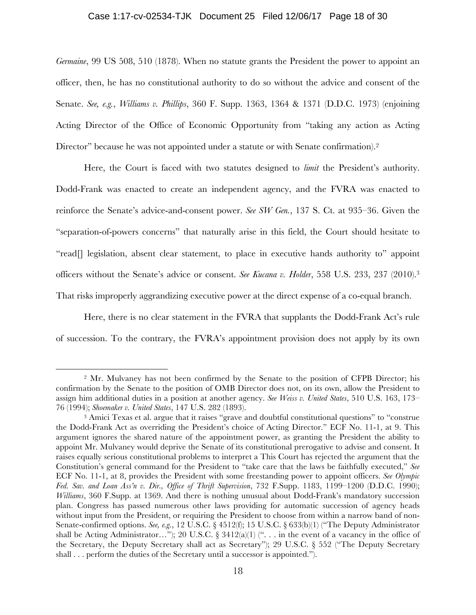### Case 1:17-cv-02534-TJK Document 25 Filed 12/06/17 Page 18 of 30

*Germaine*, 99 US 508, 510 (1878). When no statute grants the President the power to appoint an officer, then, he has no constitutional authority to do so without the advice and consent of the Senate. *See, e.g.*, *Williams v. Phillips*, 360 F. Supp. 1363, 1364 & 1371 (D.D.C. 1973) (enjoining Acting Director of the Office of Economic Opportunity from "taking any action as Acting Director" because he was not appointed under a statute or with Senate confirmation).<sup>2</sup>

Here, the Court is faced with two statutes designed to *limit* the President's authority. Dodd-Frank was enacted to create an independent agency, and the FVRA was enacted to reinforce the Senate's advice-and-consent power. *See SW Gen.*, 137 S. Ct. at 935–36. Given the "separation-of-powers concerns" that naturally arise in this field, the Court should hesitate to "read<sup>[]</sup> legislation, absent clear statement, to place in executive hands authority to" appoint officers without the Senate's advice or consent. *See Kucana v. Holder*, 558 U.S. 233, 237 (2010).3 That risks improperly aggrandizing executive power at the direct expense of a co-equal branch.

Here, there is no clear statement in the FVRA that supplants the Dodd-Frank Act's rule of succession. To the contrary, the FVRA's appointment provision does not apply by its own

 <sup>2</sup> Mr. Mulvaney has not been confirmed by the Senate to the position of CFPB Director; his confirmation by the Senate to the position of OMB Director does not, on its own, allow the President to assign him additional duties in a position at another agency. *See Weiss v. United States*, 510 U.S. 163, 173– 76 (1994); *Shoemaker v. United States*, 147 U.S. 282 (1893).

<sup>&</sup>lt;sup>3</sup> Amici Texas et al. argue that it raises "grave and doubtful constitutional questions" to "construe the Dodd-Frank Act as overriding the President's choice of Acting Director." ECF No. 11-1, at 9. This argument ignores the shared nature of the appointment power, as granting the President the ability to appoint Mr. Mulvaney would deprive the Senate of its constitutional prerogative to advise and consent. It raises equally serious constitutional problems to interpret a This Court has rejected the argument that the Constitution's general command for the President to "take care that the laws be faithfully executed," *See* ECF No. 11-1, at 8, provides the President with some freestanding power to appoint officers. *See Olympic Fed. Sav. and Loan Ass'n v. Dir., Office of Thrift Supervision*, 732 F.Supp. 1183, 1199–1200 (D.D.C. 1990); *Williams*, 360 F.Supp. at 1369. And there is nothing unusual about Dodd-Frank's mandatory succession plan. Congress has passed numerous other laws providing for automatic succession of agency heads without input from the President, or requiring the President to choose from within a narrow band of non-Senate-confirmed options. *See, e.g.*, 12 U.S.C. § 4512(f); 15 U.S.C. § 633(b)(1) ("The Deputy Administrator shall be Acting Administrator…"); 20 U.S.C.  $\S 3412(a)(1)$  ("... in the event of a vacancy in the office of the Secretary, the Deputy Secretary shall act as Secretary"); 29 U.S.C. § 552 ("The Deputy Secretary shall . . . perform the duties of the Secretary until a successor is appointed.").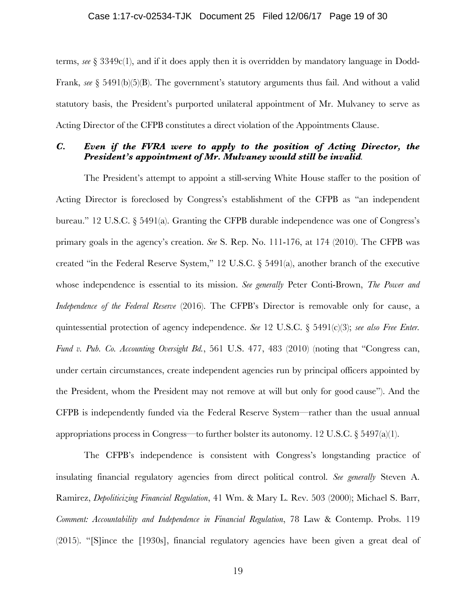### Case 1:17-cv-02534-TJK Document 25 Filed 12/06/17 Page 19 of 30

terms, *see* § 3349c(1), and if it does apply then it is overridden by mandatory language in Dodd-Frank, *see* § 5491(b)(5)(B). The government's statutory arguments thus fail. And without a valid statutory basis, the President's purported unilateral appointment of Mr. Mulvaney to serve as Acting Director of the CFPB constitutes a direct violation of the Appointments Clause.

# *C. Even if the FVRA were to apply to the position of Acting Director, the President's appointment of Mr. Mulvaney would still be invalid.*

The President's attempt to appoint a still-serving White House staffer to the position of Acting Director is foreclosed by Congress's establishment of the CFPB as "an independent bureau." 12 U.S.C. § 5491(a). Granting the CFPB durable independence was one of Congress's primary goals in the agency's creation. *See* S. Rep. No. 111-176, at 174 (2010). The CFPB was created "in the Federal Reserve System," 12 U.S.C. § 5491(a), another branch of the executive whose independence is essential to its mission. *See generally* Peter Conti-Brown, *The Power and Independence of the Federal Reserve* (2016). The CFPB's Director is removable only for cause, a quintessential protection of agency independence. *See* 12 U.S.C. § 5491(c)(3); *see also Free Enter. Fund v. Pub. Co. Accounting Oversight Bd.*, 561 U.S. 477, 483 (2010) (noting that "Congress can, under certain circumstances, create independent agencies run by principal officers appointed by the President, whom the President may not remove at will but only for good cause"). And the CFPB is independently funded via the Federal Reserve System—rather than the usual annual appropriations process in Congress—to further bolster its autonomy. 12 U.S.C.  $\S 5497(a)(1)$ .

The CFPB's independence is consistent with Congress's longstanding practice of insulating financial regulatory agencies from direct political control. *See generally* Steven A. Ramirez, *Depoliticizing Financial Regulation*, 41 Wm. & Mary L. Rev. 503 (2000); Michael S. Barr, *Comment: Accountability and Independence in Financial Regulation*, 78 Law & Contemp. Probs. 119 (2015). "[S]ince the [1930s], financial regulatory agencies have been given a great deal of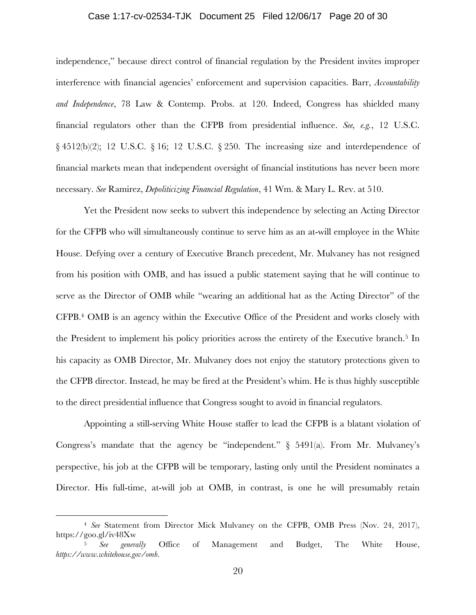### Case 1:17-cv-02534-TJK Document 25 Filed 12/06/17 Page 20 of 30

independence," because direct control of financial regulation by the President invites improper interference with financial agencies' enforcement and supervision capacities. Barr, *Accountability and Independence*, 78 Law & Contemp. Probs. at 120. Indeed, Congress has shielded many financial regulators other than the CFPB from presidential influence. *See, e.g.*, 12 U.S.C. § 4512(b)(2); 12 U.S.C. § 16; 12 U.S.C. § 250. The increasing size and interdependence of financial markets mean that independent oversight of financial institutions has never been more necessary. *See* Ramirez, *Depoliticizing Financial Regulation*, 41 Wm. & Mary L. Rev. at 510.

Yet the President now seeks to subvert this independence by selecting an Acting Director for the CFPB who will simultaneously continue to serve him as an at-will employee in the White House. Defying over a century of Executive Branch precedent, Mr. Mulvaney has not resigned from his position with OMB, and has issued a public statement saying that he will continue to serve as the Director of OMB while "wearing an additional hat as the Acting Director" of the CFPB.4 OMB is an agency within the Executive Office of the President and works closely with the President to implement his policy priorities across the entirety of the Executive branch.<sup>5</sup> In his capacity as OMB Director, Mr. Mulvaney does not enjoy the statutory protections given to the CFPB director. Instead, he may be fired at the President's whim. He is thus highly susceptible to the direct presidential influence that Congress sought to avoid in financial regulators.

Appointing a still-serving White House staffer to lead the CFPB is a blatant violation of Congress's mandate that the agency be "independent."  $\S$  5491(a). From Mr. Mulvaney's perspective, his job at the CFPB will be temporary, lasting only until the President nominates a Director. His full-time, at-will job at OMB, in contrast, is one he will presumably retain

 <sup>4</sup> *See* Statement from Director Mick Mulvaney on the CFPB, OMB Press (Nov. 24, 2017), https://goo.gl/iv48Xw

<sup>5</sup> *See generally* Office of Management and Budget, The White House, *https://www.whitehouse.gov/omb.*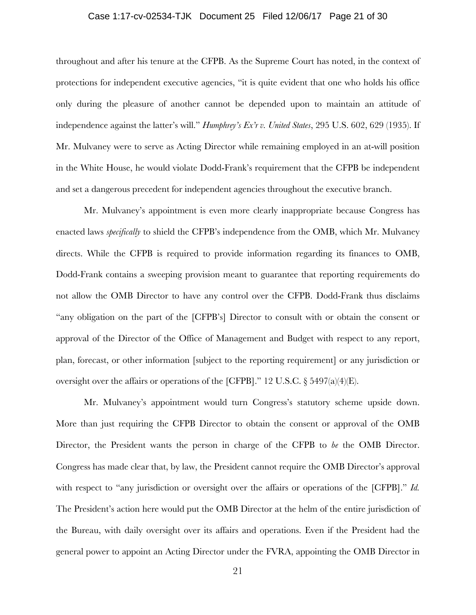## Case 1:17-cv-02534-TJK Document 25 Filed 12/06/17 Page 21 of 30

throughout and after his tenure at the CFPB. As the Supreme Court has noted, in the context of protections for independent executive agencies, "it is quite evident that one who holds his office only during the pleasure of another cannot be depended upon to maintain an attitude of independence against the latter's will." *Humphrey's Ex'r v. United States*, 295 U.S. 602, 629 (1935). If Mr. Mulvaney were to serve as Acting Director while remaining employed in an at-will position in the White House, he would violate Dodd-Frank's requirement that the CFPB be independent and set a dangerous precedent for independent agencies throughout the executive branch.

Mr. Mulvaney's appointment is even more clearly inappropriate because Congress has enacted laws *specifically* to shield the CFPB's independence from the OMB, which Mr. Mulvaney directs. While the CFPB is required to provide information regarding its finances to OMB, Dodd-Frank contains a sweeping provision meant to guarantee that reporting requirements do not allow the OMB Director to have any control over the CFPB. Dodd-Frank thus disclaims "any obligation on the part of the [CFPB's] Director to consult with or obtain the consent or approval of the Director of the Office of Management and Budget with respect to any report, plan, forecast, or other information [subject to the reporting requirement] or any jurisdiction or oversight over the affairs or operations of the [CFPB]." 12 U.S.C. § 5497(a)(4)(E).

Mr. Mulvaney's appointment would turn Congress's statutory scheme upside down. More than just requiring the CFPB Director to obtain the consent or approval of the OMB Director, the President wants the person in charge of the CFPB to *be* the OMB Director. Congress has made clear that, by law, the President cannot require the OMB Director's approval with respect to "any jurisdiction or oversight over the affairs or operations of the [CFPB]." *Id.* The President's action here would put the OMB Director at the helm of the entire jurisdiction of the Bureau, with daily oversight over its affairs and operations. Even if the President had the general power to appoint an Acting Director under the FVRA, appointing the OMB Director in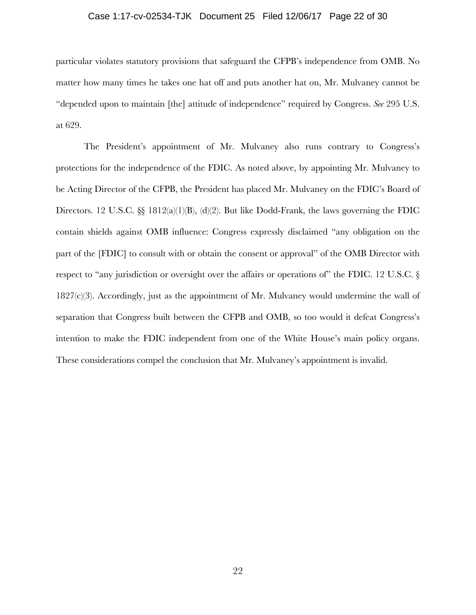### Case 1:17-cv-02534-TJK Document 25 Filed 12/06/17 Page 22 of 30

particular violates statutory provisions that safeguard the CFPB's independence from OMB. No matter how many times he takes one hat off and puts another hat on, Mr. Mulvaney cannot be "depended upon to maintain [the] attitude of independence" required by Congress. *See* 295 U.S. at 629.

The President's appointment of Mr. Mulvaney also runs contrary to Congress's protections for the independence of the FDIC. As noted above, by appointing Mr. Mulvaney to be Acting Director of the CFPB, the President has placed Mr. Mulvaney on the FDIC's Board of Directors. 12 U.S.C.  $\S$  1812(a)(1)(B), (d)(2). But like Dodd-Frank, the laws governing the FDIC contain shields against OMB influence: Congress expressly disclaimed "any obligation on the part of the [FDIC] to consult with or obtain the consent or approval" of the OMB Director with respect to "any jurisdiction or oversight over the affairs or operations of" the FDIC. 12 U.S.C. § 1827(c)(3). Accordingly, just as the appointment of Mr. Mulvaney would undermine the wall of separation that Congress built between the CFPB and OMB, so too would it defeat Congress's intention to make the FDIC independent from one of the White House's main policy organs. These considerations compel the conclusion that Mr. Mulvaney's appointment is invalid.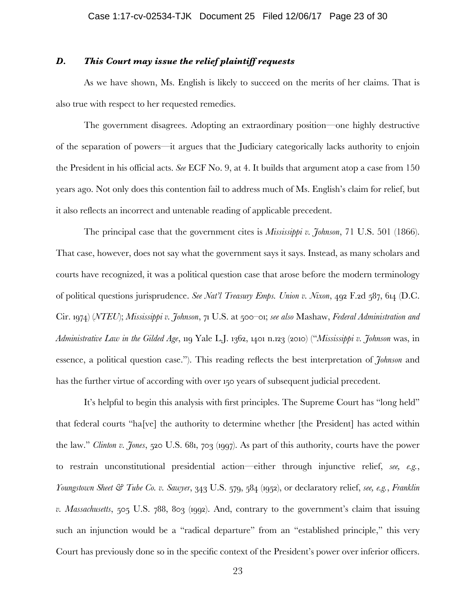# *D. This Court may issue the relief plaintiff requests*

As we have shown, Ms. English is likely to succeed on the merits of her claims. That is also true with respect to her requested remedies.

The government disagrees. Adopting an extraordinary position—one highly destructive of the separation of powers—it argues that the Judiciary categorically lacks authority to enjoin the President in his official acts. *See* ECF No. 9, at 4. It builds that argument atop a case from 150 years ago. Not only does this contention fail to address much of Ms. English's claim for relief, but it also reflects an incorrect and untenable reading of applicable precedent.

The principal case that the government cites is *Mississippi v. Johnson*, 71 U.S. 501 (1866). That case, however, does not say what the government says it says. Instead, as many scholars and courts have recognized, it was a political question case that arose before the modern terminology of political questions jurisprudence. *See Nat'l Treasury Emps. Union v. Nixon*, 492 F.2d 587, 614 (D.C. Cir. 1974) (*NTEU*); *Mississippi v. Johnson*, 71 U.S. at 500–01; *see also* Mashaw, *Federal Administration and Administrative Law in the Gilded Age*, 119 Yale L.J. 1362, 1401 n.123 (2010) ("*Mississippi v. Johnson* was, in essence, a political question case."). This reading reflects the best interpretation of *Johnson* and has the further virtue of according with over 150 years of subsequent judicial precedent.

It's helpful to begin this analysis with first principles. The Supreme Court has "long held" that federal courts "ha[ve] the authority to determine whether [the President] has acted within the law." *Clinton v. Jones*, 520 U.S. 681, 703 (1997). As part of this authority, courts have the power to restrain unconstitutional presidential action—either through injunctive relief, *see, e.g.*, *Youngstown Sheet & Tube Co. v. Sawyer*, 343 U.S. 579, 584 (1952), or declaratory relief, *see, e.g.*, *Franklin v. Massachusetts*, 505 U.S. 788, 803 (1992). And, contrary to the government's claim that issuing such an injunction would be a "radical departure" from an "established principle," this very Court has previously done so in the specific context of the President's power over inferior officers.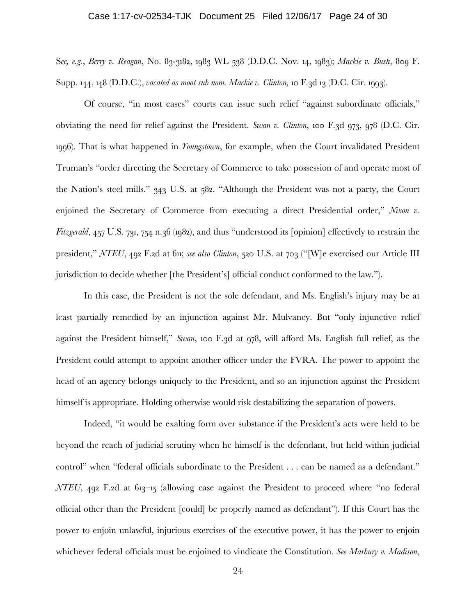### Case 1:17-cv-02534-TJK Document 25 Filed 12/06/17 Page 24 of 30

S*ee, e.g.*, *Berry v. Reagan*, No. 83-3182, 1983 WL 538 (D.D.C. Nov. 14, 1983); *Mackie v. Bush*, 809 F. Supp. 144, 148 (D.D.C.), *vacated as moot sub nom. Mackie v. Clinton,* 10 F.3d 13 (D.C. Cir. 1993).

Of course, "in most cases" courts can issue such relief "against subordinate officials," obviating the need for relief against the President. *Swan v. Clinton*, 100 F.3d 973, 978 (D.C. Cir. 1996). That is what happened in *Youngstown*, for example, when the Court invalidated President Truman's "order directing the Secretary of Commerce to take possession of and operate most of the Nation's steel mills." 343 U.S. at 582. "Although the President was not a party, the Court enjoined the Secretary of Commerce from executing a direct Presidential order," *Nixon v. Fitzgerald*, 457 U.S. 731, 754 n.36 (1982), and thus "understood its [opinion] effectively to restrain the president," *NTEU*, 492 F.2d at 611; *see also Clinton*, 520 U.S. at 703 ("[W]e exercised our Article III jurisdiction to decide whether [the President's] official conduct conformed to the law.").

In this case, the President is not the sole defendant, and Ms. English's injury may be at least partially remedied by an injunction against Mr. Mulvaney. But "only injunctive relief against the President himself," *Swan*, 100 F.3d at 978, will afford Ms. English full relief, as the President could attempt to appoint another officer under the FVRA. The power to appoint the head of an agency belongs uniquely to the President, and so an injunction against the President himself is appropriate. Holding otherwise would risk destabilizing the separation of powers.

Indeed, "it would be exalting form over substance if the President's acts were held to be beyond the reach of judicial scrutiny when he himself is the defendant, but held within judicial control" when "federal officials subordinate to the President . . . can be named as a defendant." *NTEU*, 492 F.2d at 613–15 (allowing case against the President to proceed where "no federal" official other than the President [could] be properly named as defendant"). If this Court has the power to enjoin unlawful, injurious exercises of the executive power, it has the power to enjoin whichever federal officials must be enjoined to vindicate the Constitution. *See Marbury v. Madison*,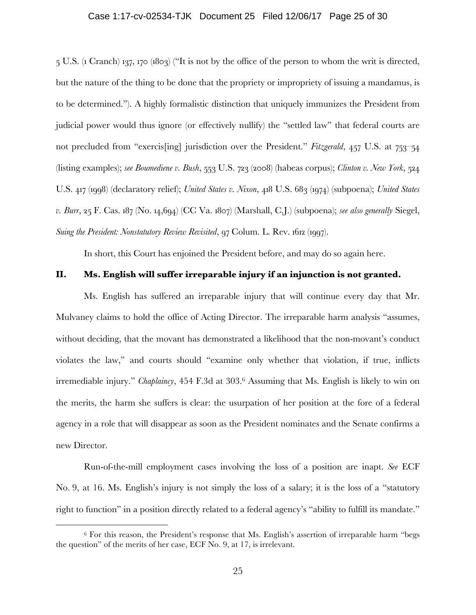### Case 1:17-cv-02534-TJK Document 25 Filed 12/06/17 Page 25 of 30

5 U.S. (1 Cranch) 137, 170 (1803) ("It is not by the office of the person to whom the writ is directed, but the nature of the thing to be done that the propriety or impropriety of issuing a mandamus, is to be determined."). A highly formalistic distinction that uniquely immunizes the President from judicial power would thus ignore (or effectively nullify) the "settled law" that federal courts are not precluded from "exercis[ing] jurisdiction over the President." *Fitzgerald*, 457 U.S. at 753–54 (listing examples); *see Boumediene v. Bush*, 553 U.S. 723 (2008) (habeas corpus); *Clinton v. New York*, 524 U.S. 417 (1998) (declaratory relief); *United States v. Nixon*, 418 U.S. 683 (1974) (subpoena); *United States v. Burr*, 25 F. Cas. 187 (No. 14,694) (CC Va. 1807) (Marshall, C.J.) (subpoena); *see also generally* Siegel, *Suing the President: Nonstatutory Review Revisited*, 97 Colum. L. Rev. 1612 (1997).

In short, this Court has enjoined the President before, and may do so again here.

## **II. Ms. English will suffer irreparable injury if an injunction is not granted.**

Ms. English has suffered an irreparable injury that will continue every day that Mr. Mulvaney claims to hold the office of Acting Director. The irreparable harm analysis "assumes, without deciding, that the movant has demonstrated a likelihood that the non-movant's conduct violates the law," and courts should "examine only whether that violation, if true, inflicts irremediable injury." *Chaplaincy*, 454 F.3d at 303.6 Assuming that Ms. English is likely to win on the merits, the harm she suffers is clear: the usurpation of her position at the fore of a federal agency in a role that will disappear as soon as the President nominates and the Senate confirms a new Director.

Run-of-the-mill employment cases involving the loss of a position are inapt. *See* ECF No. 9, at 16. Ms. English's injury is not simply the loss of a salary; it is the loss of a "statutory right to function" in a position directly related to a federal agency's "ability to fulfill its mandate."

 $6$  For this reason, the President's response that Ms. English's assertion of irreparable harm "begs" the question" of the merits of her case, ECF No. 9, at 17, is irrelevant.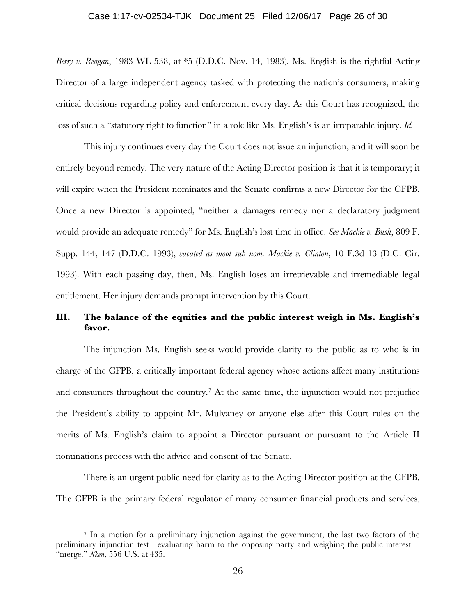### Case 1:17-cv-02534-TJK Document 25 Filed 12/06/17 Page 26 of 30

*Berry v. Reagan*, 1983 WL 538, at \*5 (D.D.C. Nov. 14, 1983). Ms. English is the rightful Acting Director of a large independent agency tasked with protecting the nation's consumers, making critical decisions regarding policy and enforcement every day. As this Court has recognized, the loss of such a "statutory right to function" in a role like Ms. English's is an irreparable injury. *Id.*

This injury continues every day the Court does not issue an injunction, and it will soon be entirely beyond remedy. The very nature of the Acting Director position is that it is temporary; it will expire when the President nominates and the Senate confirms a new Director for the CFPB. Once a new Director is appointed, "neither a damages remedy nor a declaratory judgment would provide an adequate remedy" for Ms. English's lost time in office. *See Mackie v. Bush*, 809 F. Supp. 144, 147 (D.D.C. 1993), *vacated as moot sub nom. Mackie v. Clinton*, 10 F.3d 13 (D.C. Cir. 1993). With each passing day, then, Ms. English loses an irretrievable and irremediable legal entitlement. Her injury demands prompt intervention by this Court.

# **III. The balance of the equities and the public interest weigh in Ms. English's favor.**

The injunction Ms. English seeks would provide clarity to the public as to who is in charge of the CFPB, a critically important federal agency whose actions affect many institutions and consumers throughout the country.7 At the same time, the injunction would not prejudice the President's ability to appoint Mr. Mulvaney or anyone else after this Court rules on the merits of Ms. English's claim to appoint a Director pursuant or pursuant to the Article II nominations process with the advice and consent of the Senate.

There is an urgent public need for clarity as to the Acting Director position at the CFPB. The CFPB is the primary federal regulator of many consumer financial products and services,

 <sup>7</sup> In a motion for a preliminary injunction against the government, the last two factors of the preliminary injunction test—evaluating harm to the opposing party and weighing the public interest— "merge." *Nken*, 556 U.S. at 435.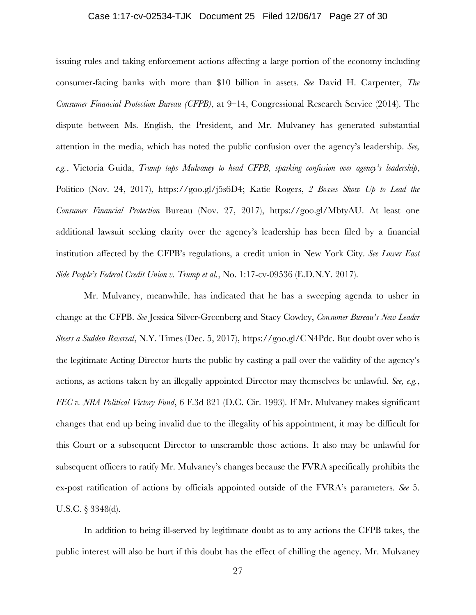### Case 1:17-cv-02534-TJK Document 25 Filed 12/06/17 Page 27 of 30

issuing rules and taking enforcement actions affecting a large portion of the economy including consumer-facing banks with more than \$10 billion in assets. *See* David H. Carpenter, *The Consumer Financial Protection Bureau (CFPB)*, at 9–14, Congressional Research Service (2014). The dispute between Ms. English, the President, and Mr. Mulvaney has generated substantial attention in the media, which has noted the public confusion over the agency's leadership. *See, e.g.*, Victoria Guida, *Trump taps Mulvaney to head CFPB, sparking confusion over agency's leadership*, Politico (Nov. 24, 2017), https://goo.gl/j5s6D4; Katie Rogers, *2 Bosses Show Up to Lead the Consumer Financial Protection* Bureau (Nov. 27, 2017), https://goo.gl/MbtyAU. At least one additional lawsuit seeking clarity over the agency's leadership has been filed by a financial institution affected by the CFPB's regulations, a credit union in New York City. *See Lower East Side People's Federal Credit Union v. Trump et al.*, No. 1:17-cv-09536 (E.D.N.Y. 2017).

Mr. Mulvaney, meanwhile, has indicated that he has a sweeping agenda to usher in change at the CFPB. *See* Jessica Silver-Greenberg and Stacy Cowley, *Consumer Bureau's New Leader Steers a Sudden Reversal*, N.Y. Times (Dec. 5, 2017), https://goo.gl/CN4Pdc. But doubt over who is the legitimate Acting Director hurts the public by casting a pall over the validity of the agency's actions, as actions taken by an illegally appointed Director may themselves be unlawful. *See, e.g.*, *FEC v. NRA Political Victory Fund*, 6 F.3d 821 (D.C. Cir. 1993). If Mr. Mulvaney makes significant changes that end up being invalid due to the illegality of his appointment, it may be difficult for this Court or a subsequent Director to unscramble those actions. It also may be unlawful for subsequent officers to ratify Mr. Mulvaney's changes because the FVRA specifically prohibits the ex-post ratification of actions by officials appointed outside of the FVRA's parameters. *See* 5. U.S.C. § 3348(d).

In addition to being ill-served by legitimate doubt as to any actions the CFPB takes, the public interest will also be hurt if this doubt has the effect of chilling the agency. Mr. Mulvaney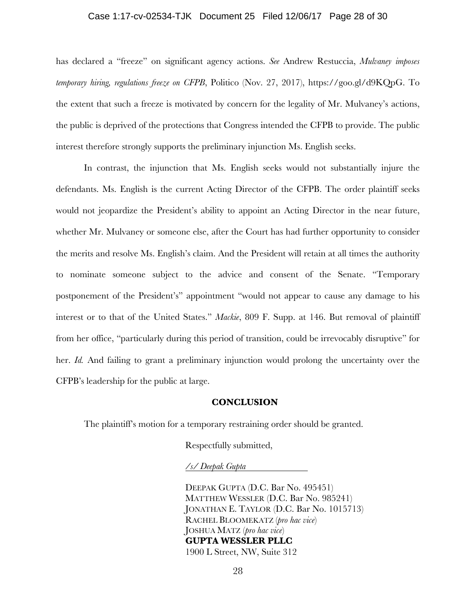### Case 1:17-cv-02534-TJK Document 25 Filed 12/06/17 Page 28 of 30

has declared a "freeze" on significant agency actions. *See* Andrew Restuccia, *Mulvaney imposes temporary hiring, regulations freeze on CFPB*, Politico (Nov. 27, 2017), https://goo.gl/d9KQpG. To the extent that such a freeze is motivated by concern for the legality of Mr. Mulvaney's actions, the public is deprived of the protections that Congress intended the CFPB to provide. The public interest therefore strongly supports the preliminary injunction Ms. English seeks.

In contrast, the injunction that Ms. English seeks would not substantially injure the defendants. Ms. English is the current Acting Director of the CFPB. The order plaintiff seeks would not jeopardize the President's ability to appoint an Acting Director in the near future, whether Mr. Mulvaney or someone else, after the Court has had further opportunity to consider the merits and resolve Ms. English's claim. And the President will retain at all times the authority to nominate someone subject to the advice and consent of the Senate. "Temporary postponement of the President's" appointment "would not appear to cause any damage to his interest or to that of the United States." *Mackie*, 809 F. Supp. at 146. But removal of plaintiff from her office, "particularly during this period of transition, could be irrevocably disruptive" for her. *Id.* And failing to grant a preliminary injunction would prolong the uncertainty over the CFPB's leadership for the public at large.

### **CONCLUSION**

The plaintiff's motion for a temporary restraining order should be granted.

Respectfully submitted,

*/s/ Deepak Gupta*

DEEPAK GUPTA (D.C. Bar No. 495451) MATTHEW WESSLER (D.C. Bar No. 985241) JONATHAN E. TAYLOR (D.C. Bar No. 1015713) RACHEL BLOOMEKATZ (*pro hac vice*) JOSHUA MATZ (*pro hac vice*) **GUPTA WESSLER PLLC** 1900 L Street, NW, Suite 312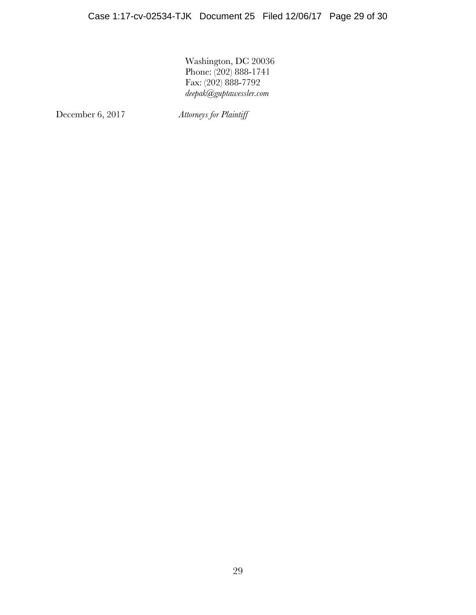Washington, DC 20036 Phone: (202) 888-1741 Fax: (202) 888-7792 *deepak@guptawessler.com*

December 6, 2017 *Attorneys for Plaintiff*